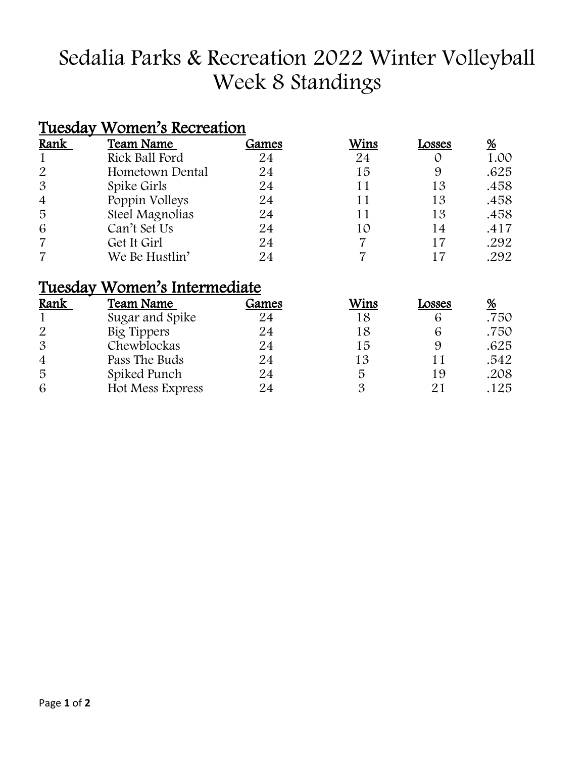# Sedalia Parks & Recreation 2022 Winter Volleyball Week 8 Standings

#### Tuesday Women's Recreation

| Rank           | <b>Team Name</b> | Games | Wins | Losses | %    |
|----------------|------------------|-------|------|--------|------|
|                | Rick Ball Ford   | 24    | 24   |        | 1.00 |
| 2              | Hometown Dental  | 24    | 15   | 9      | .625 |
| $\mathfrak{B}$ | Spike Girls      | 24    | 11   | 13     | .458 |
| $\overline{4}$ | Poppin Volleys   | 24    | 11   | 13     | .458 |
| 5              | Steel Magnolias  | 24    | 11   | 13     | .458 |
| 6              | Can't Set Us     | 24    | 10   | 14     | .417 |
|                | Get It Girl      | 24    |      | 17     | .292 |
|                | We Be Hustlin'   | 24    |      |        | .292 |

#### Tuesday Women's Intermediate

| Rank           | Team Name        | Games | Wins | Losses | %    |
|----------------|------------------|-------|------|--------|------|
|                | Sugar and Spike  | 24    | 18   |        | .750 |
| 2              | Big Tippers      | 24    | 18   |        | .750 |
| $\mathcal{S}$  | Chewblockas      | 24    | 15   |        | .625 |
| $\overline{4}$ | Pass The Buds    | 24    | 13   |        | .542 |
| 5              | Spiked Punch     | 24    | 5    | 19     | .208 |
| 6              | Hot Mess Express | 24    |      |        | .125 |